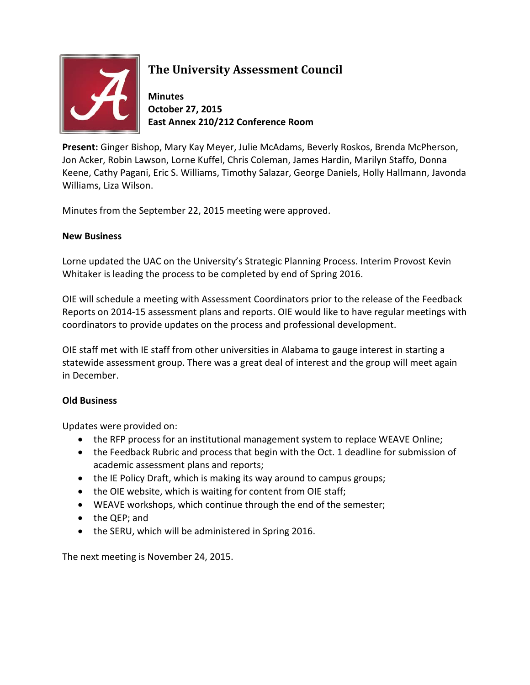

## **The University Assessment Council**

**Minutes October 27, 2015 East Annex 210/212 Conference Room**

**Present:** Ginger Bishop, Mary Kay Meyer, Julie McAdams, Beverly Roskos, Brenda McPherson, Jon Acker, Robin Lawson, Lorne Kuffel, Chris Coleman, James Hardin, Marilyn Staffo, Donna Keene, Cathy Pagani, Eric S. Williams, Timothy Salazar, George Daniels, Holly Hallmann, Javonda Williams, Liza Wilson.

Minutes from the September 22, 2015 meeting were approved.

## **New Business**

Lorne updated the UAC on the University's Strategic Planning Process. Interim Provost Kevin Whitaker is leading the process to be completed by end of Spring 2016.

OIE will schedule a meeting with Assessment Coordinators prior to the release of the Feedback Reports on 2014-15 assessment plans and reports. OIE would like to have regular meetings with coordinators to provide updates on the process and professional development.

OIE staff met with IE staff from other universities in Alabama to gauge interest in starting a statewide assessment group. There was a great deal of interest and the group will meet again in December.

## **Old Business**

Updates were provided on:

- the RFP process for an institutional management system to replace WEAVE Online;
- the Feedback Rubric and process that begin with the Oct. 1 deadline for submission of academic assessment plans and reports;
- the IE Policy Draft, which is making its way around to campus groups;
- the OIE website, which is waiting for content from OIE staff;
- WEAVE workshops, which continue through the end of the semester;
- the QEP; and
- the SERU, which will be administered in Spring 2016.

The next meeting is November 24, 2015.